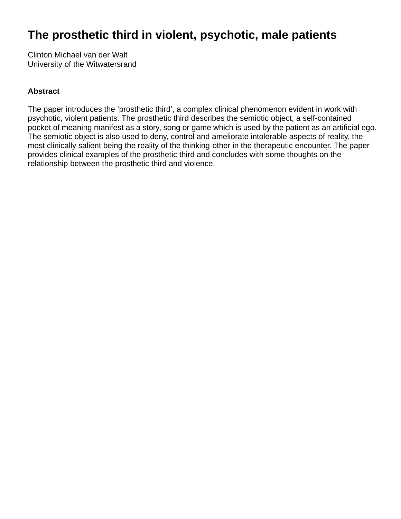### **The prosthetic third in violent, psychotic, male patients**

Clinton Michael van der Walt University of the Witwatersrand

#### **Abstract**

The paper introduces the 'prosthetic third', a complex clinical phenomenon evident in work with psychotic, violent patients. The prosthetic third describes the semiotic object, a self-contained pocket of meaning manifest as a story, song or game which is used by the patient as an artificial ego. The semiotic object is also used to deny, control and ameliorate intolerable aspects of reality, the most clinically salient being the reality of the thinking-other in the therapeutic encounter. The paper provides clinical examples of the prosthetic third and concludes with some thoughts on the relationship between the prosthetic third and violence.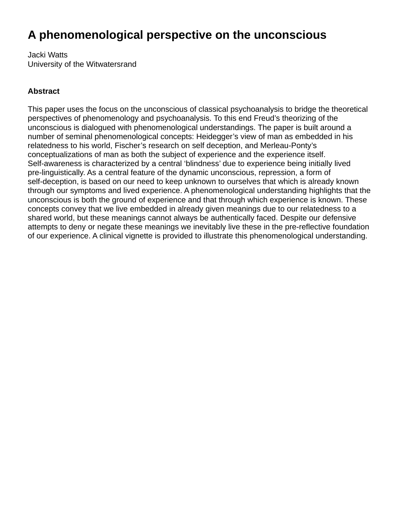# **A phenomenological perspective on the unconscious**

Jacki Watts University of the Witwatersrand

#### **Abstract**

This paper uses the focus on the unconscious of classical psychoanalysis to bridge the theoretical perspectives of phenomenology and psychoanalysis. To this end Freud's theorizing of the unconscious is dialogued with phenomenological understandings. The paper is built around a number of seminal phenomenological concepts: Heidegger's view of man as embedded in his relatedness to his world, Fischer's research on self deception, and Merleau-Ponty's conceptualizations of man as both the subject of experience and the experience itself. Self-awareness is characterized by a central 'blindness' due to experience being initially lived pre-linguistically. As a central feature of the dynamic unconscious, repression, a form of self-deception, is based on our need to keep unknown to ourselves that which is already known through our symptoms and lived experience. A phenomenological understanding highlights that the unconscious is both the ground of experience and that through which experience is known. These concepts convey that we live embedded in already given meanings due to our relatedness to a shared world, but these meanings cannot always be authentically faced. Despite our defensive attempts to deny or negate these meanings we inevitably live these in the pre-reflective foundation of our experience. A clinical vignette is provided to illustrate this phenomenological understanding.